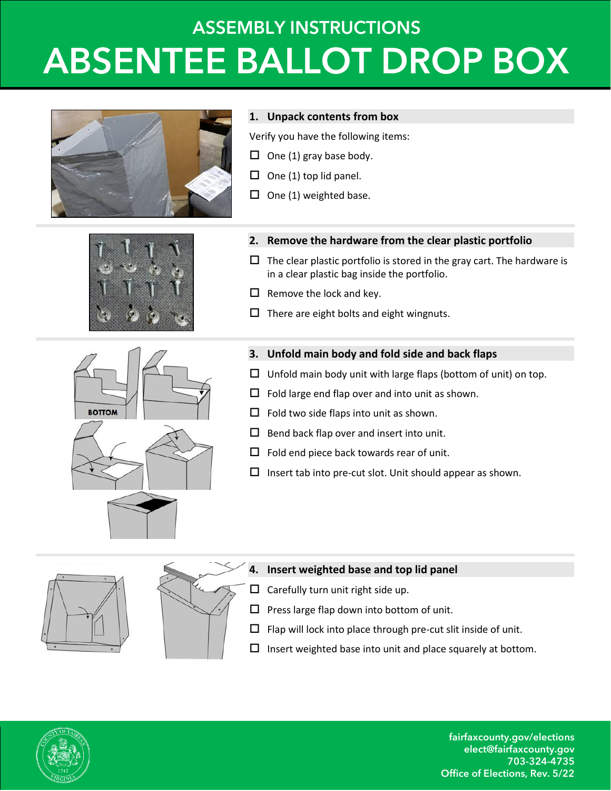# **ASSEMBLY INSTRUCTIONS ABSENTEE BALLOT DROP BOX**





#### **1. Unpack contents from box**

Verify you have the following items:

- $\Box$  One (1) gray base body.
- $\Box$  One (1) top lid panel.
- $\Box$  One (1) weighted base.





- $\Box$  The clear plastic portfolio is stored in the gray cart. The hardware is in a clear plastic bag inside the portfolio.
- $\Box$  Remove the lock and key.
- $\Box$  There are eight bolts and eight wingnuts.



- **3. Unfold main body and fold side and back flaps**
- $\Box$  Unfold main body unit with large flaps (bottom of unit) on top.
- $\Box$  Fold large end flap over and into unit as shown.
- $\Box$  Fold two side flaps into unit as shown.
- $\Box$  Bend back flap over and insert into unit.
- $\Box$  Fold end piece back towards rear of unit.
- $\Box$  Insert tab into pre-cut slot. Unit should appear as shown.



### **4. Insert weighted base and top lid panel**

- $\Box$  Carefully turn unit right side up.
- $\square$  Press large flap down into bottom of unit.
- $\Box$  Flap will lock into place through pre-cut slit inside of unit.
- $\square$  Insert weighted base into unit and place squarely at bottom.



fairfaxcounty.gov/elections elect@fairfaxcounty.gov 703-324-4735 Office of Elections, Rev. 5/22